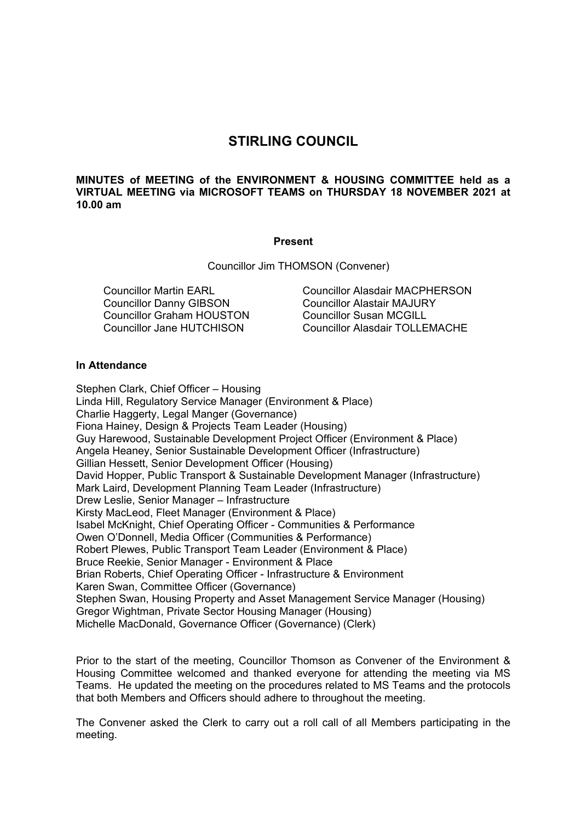# **STIRLING COUNCIL**

# **MINUTES of MEETING of the ENVIRONMENT & HOUSING COMMITTEE held as a VIRTUAL MEETING via MICROSOFT TEAMS on THURSDAY 18 NOVEMBER 2021 at 10.00 am**

#### **Present**

Councillor Jim THOMSON (Convener)

Councillor Martin EARL Councillor Danny GIBSON Councillor Graham HOUSTON Councillor Jane HUTCHISON

Councillor Alasdair MACPHERSON Councillor Alastair MAJURY Councillor Susan MCGILL Councillor Alasdair TOLLEMACHE

#### **In Attendance**

Stephen Clark, Chief Officer – Housing Linda Hill, Regulatory Service Manager (Environment & Place) Charlie Haggerty, Legal Manger (Governance) Fiona Hainey, Design & Projects Team Leader (Housing) Guy Harewood, Sustainable Development Project Officer (Environment & Place) Angela Heaney, Senior Sustainable Development Officer (Infrastructure) Gillian Hessett, Senior Development Officer (Housing) David Hopper, Public Transport & Sustainable Development Manager (Infrastructure) Mark Laird, Development Planning Team Leader (Infrastructure) Drew Leslie, Senior Manager – Infrastructure Kirsty MacLeod, Fleet Manager (Environment & Place) Isabel McKnight, Chief Operating Officer - Communities & Performance Owen O'Donnell, Media Officer (Communities & Performance) Robert Plewes, Public Transport Team Leader (Environment & Place) Bruce Reekie, Senior Manager - Environment & Place Brian Roberts, Chief Operating Officer - Infrastructure & Environment Karen Swan, Committee Officer (Governance) Stephen Swan, Housing Property and Asset Management Service Manager (Housing) Gregor Wightman, Private Sector Housing Manager (Housing) Michelle MacDonald, Governance Officer (Governance) (Clerk)

Prior to the start of the meeting, Councillor Thomson as Convener of the Environment & Housing Committee welcomed and thanked everyone for attending the meeting via MS Teams. He updated the meeting on the procedures related to MS Teams and the protocols that both Members and Officers should adhere to throughout the meeting.

The Convener asked the Clerk to carry out a roll call of all Members participating in the meeting.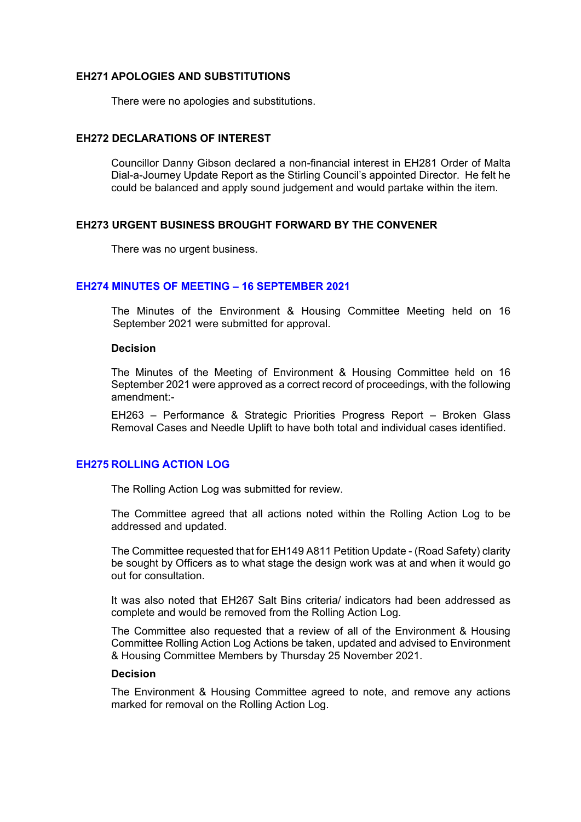#### **EH271 APOLOGIES AND SUBSTITUTIONS**

There were no apologies and substitutions.

# **EH272 DECLARATIONS OF INTEREST**

Councillor Danny Gibson declared a non-financial interest in EH281 Order of Malta Dial-a-Journey Update Report as the Stirling Council's appointed Director. He felt he could be balanced and apply sound judgement and would partake within the item.

# **EH273 URGENT BUSINESS BROUGHT FORWARD BY THE CONVENER**

There was no urgent business.

## **EH274 MINUTES OF MEETING – 16 SEPTEMBER 2021**

The Minutes of the Environment & Housing Committee Meeting held on 16 September 2021 were submitted for approval.

#### **Decision**

The Minutes of the Meeting of Environment & Housing Committee held on 16 September 2021 were approved as a correct record of proceedings, with the following amendment:-

EH263 – Performance & Strategic Priorities Progress Report – Broken Glass Removal Cases and Needle Uplift to have both total and individual cases identified.

# **EH275 ROLLING ACTION LOG**

The Rolling Action Log was submitted for review.

The Committee agreed that all actions noted within the Rolling Action Log to be addressed and updated.

The Committee requested that for EH149 A811 Petition Update - (Road Safety) clarity be sought by Officers as to what stage the design work was at and when it would go out for consultation.

It was also noted that EH267 Salt Bins criteria/ indicators had been addressed as complete and would be removed from the Rolling Action Log.

The Committee also requested that a review of all of the Environment & Housing Committee Rolling Action Log Actions be taken, updated and advised to Environment & Housing Committee Members by Thursday 25 November 2021.

#### **Decision**

The Environment & Housing Committee agreed to note, and remove any actions marked for removal on the Rolling Action Log.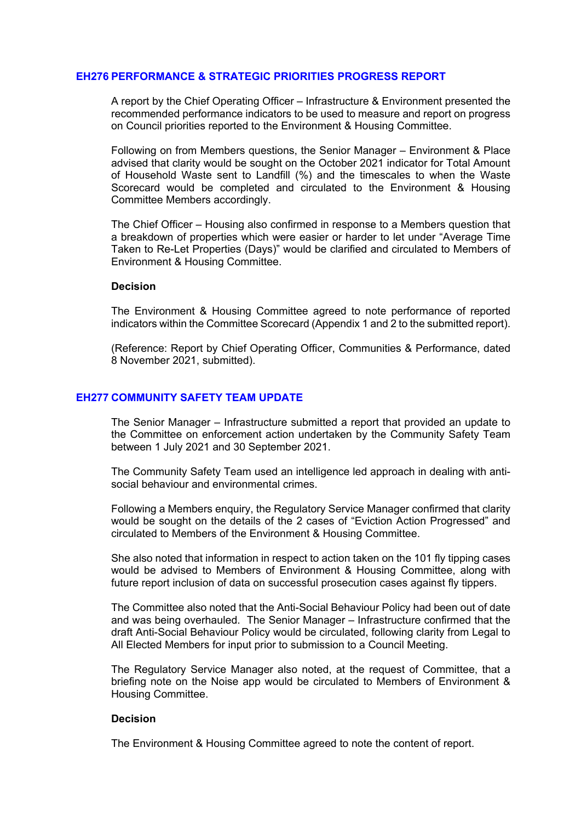#### **EH276 PERFORMANCE & STRATEGIC PRIORITIES PROGRESS REPORT**

A report by the Chief Operating Officer – Infrastructure & Environment presented the recommended performance indicators to be used to measure and report on progress on Council priorities reported to the Environment & Housing Committee.

Following on from Members questions, the Senior Manager – Environment & Place advised that clarity would be sought on the October 2021 indicator for Total Amount of Household Waste sent to Landfill (%) and the timescales to when the Waste Scorecard would be completed and circulated to the Environment & Housing Committee Members accordingly.

The Chief Officer – Housing also confirmed in response to a Members question that a breakdown of properties which were easier or harder to let under "Average Time Taken to Re-Let Properties (Days)" would be clarified and circulated to Members of Environment & Housing Committee.

#### **Decision**

The Environment & Housing Committee agreed to note performance of reported indicators within the Committee Scorecard (Appendix 1 and 2 to the submitted report).

(Reference: Report by Chief Operating Officer, Communities & Performance, dated 8 November 2021, submitted).

# **EH277 COMMUNITY SAFETY TEAM UPDATE**

The Senior Manager – Infrastructure submitted a report that provided an update to the Committee on enforcement action undertaken by the Community Safety Team between 1 July 2021 and 30 September 2021.

The Community Safety Team used an intelligence led approach in dealing with antisocial behaviour and environmental crimes.

Following a Members enquiry, the Regulatory Service Manager confirmed that clarity would be sought on the details of the 2 cases of "Eviction Action Progressed" and circulated to Members of the Environment & Housing Committee.

She also noted that information in respect to action taken on the 101 fly tipping cases would be advised to Members of Environment & Housing Committee, along with future report inclusion of data on successful prosecution cases against fly tippers.

The Committee also noted that the Anti-Social Behaviour Policy had been out of date and was being overhauled. The Senior Manager – Infrastructure confirmed that the draft Anti-Social Behaviour Policy would be circulated, following clarity from Legal to All Elected Members for input prior to submission to a Council Meeting.

The Regulatory Service Manager also noted, at the request of Committee, that a briefing note on the Noise app would be circulated to Members of Environment & Housing Committee.

#### **Decision**

The Environment & Housing Committee agreed to note the content of report.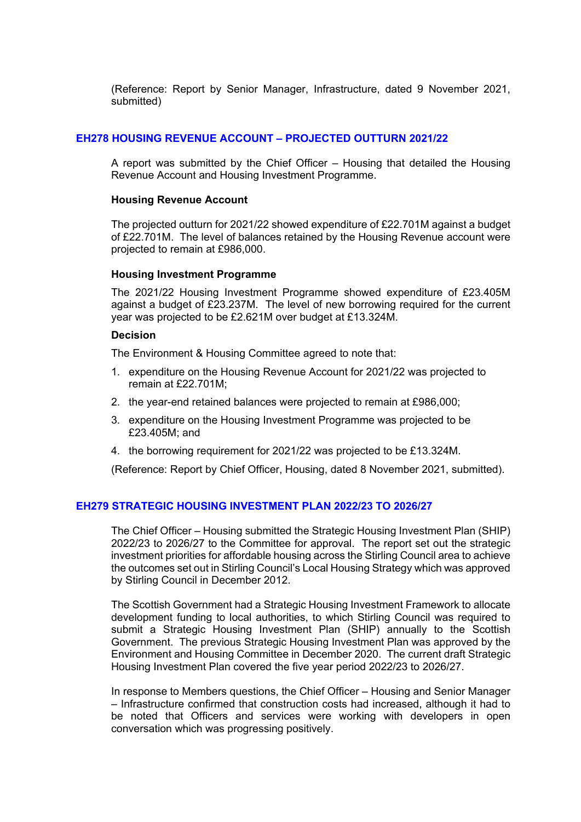(Reference: Report by Senior Manager, Infrastructure, dated 9 November 2021, submitted)

# **EH278 HOUSING REVENUE ACCOUNT – PROJECTED OUTTURN 2021/22**

A report was submitted by the Chief Officer – Housing that detailed the Housing Revenue Account and Housing Investment Programme.

## **Housing Revenue Account**

The projected outturn for 2021/22 showed expenditure of £22.701M against a budget of £22.701M. The level of balances retained by the Housing Revenue account were projected to remain at £986,000.

#### **Housing Investment Programme**

The 2021/22 Housing Investment Programme showed expenditure of £23.405M against a budget of £23.237M. The level of new borrowing required for the current year was projected to be £2.621M over budget at £13.324M.

# **Decision**

The Environment & Housing Committee agreed to note that:

- 1. expenditure on the Housing Revenue Account for 2021/22 was projected to remain at £22.701M;
- 2. the year-end retained balances were projected to remain at £986,000;
- 3. expenditure on the Housing Investment Programme was projected to be £23.405M; and
- 4. the borrowing requirement for 2021/22 was projected to be £13.324M.

(Reference: Report by Chief Officer, Housing, dated 8 November 2021, submitted).

# **EH279 STRATEGIC HOUSING INVESTMENT PLAN 2022/23 TO 2026/27**

The Chief Officer – Housing submitted the Strategic Housing Investment Plan (SHIP) 2022/23 to 2026/27 to the Committee for approval. The report set out the strategic investment priorities for affordable housing across the Stirling Council area to achieve the outcomes set out in Stirling Council's Local Housing Strategy which was approved by Stirling Council in December 2012.

The Scottish Government had a Strategic Housing Investment Framework to allocate development funding to local authorities, to which Stirling Council was required to submit a Strategic Housing Investment Plan (SHIP) annually to the Scottish Government. The previous Strategic Housing Investment Plan was approved by the Environment and Housing Committee in December 2020. The current draft Strategic Housing Investment Plan covered the five year period 2022/23 to 2026/27.

In response to Members questions, the Chief Officer – Housing and Senior Manager – Infrastructure confirmed that construction costs had increased, although it had to be noted that Officers and services were working with developers in open conversation which was progressing positively.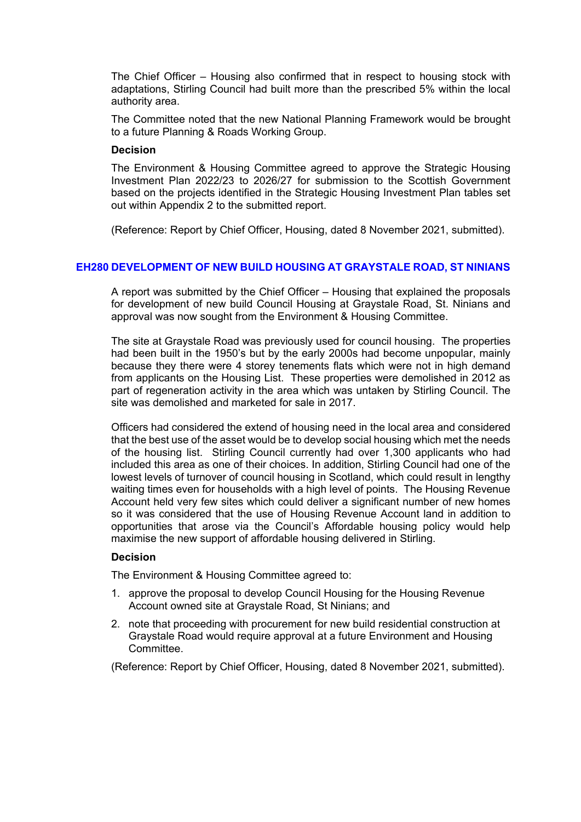The Chief Officer – Housing also confirmed that in respect to housing stock with adaptations, Stirling Council had built more than the prescribed 5% within the local authority area.

The Committee noted that the new National Planning Framework would be brought to a future Planning & Roads Working Group.

#### **Decision**

The Environment & Housing Committee agreed to approve the Strategic Housing Investment Plan 2022/23 to 2026/27 for submission to the Scottish Government based on the projects identified in the Strategic Housing Investment Plan tables set out within Appendix 2 to the submitted report.

(Reference: Report by Chief Officer, Housing, dated 8 November 2021, submitted).

# **EH280 DEVELOPMENT OF NEW BUILD HOUSING AT GRAYSTALE ROAD, ST NINIANS**

A report was submitted by the Chief Officer – Housing that explained the proposals for development of new build Council Housing at Graystale Road, St. Ninians and approval was now sought from the Environment & Housing Committee.

The site at Graystale Road was previously used for council housing. The properties had been built in the 1950's but by the early 2000s had become unpopular, mainly because they there were 4 storey tenements flats which were not in high demand from applicants on the Housing List. These properties were demolished in 2012 as part of regeneration activity in the area which was untaken by Stirling Council. The site was demolished and marketed for sale in 2017.

Officers had considered the extend of housing need in the local area and considered that the best use of the asset would be to develop social housing which met the needs of the housing list. Stirling Council currently had over 1,300 applicants who had included this area as one of their choices. In addition, Stirling Council had one of the lowest levels of turnover of council housing in Scotland, which could result in lengthy waiting times even for households with a high level of points. The Housing Revenue Account held very few sites which could deliver a significant number of new homes so it was considered that the use of Housing Revenue Account land in addition to opportunities that arose via the Council's Affordable housing policy would help maximise the new support of affordable housing delivered in Stirling.

# **Decision**

The Environment & Housing Committee agreed to:

- 1. approve the proposal to develop Council Housing for the Housing Revenue Account owned site at Graystale Road, St Ninians; and
- 2. note that proceeding with procurement for new build residential construction at Graystale Road would require approval at a future Environment and Housing **Committee.**

(Reference: Report by Chief Officer, Housing, dated 8 November 2021, submitted).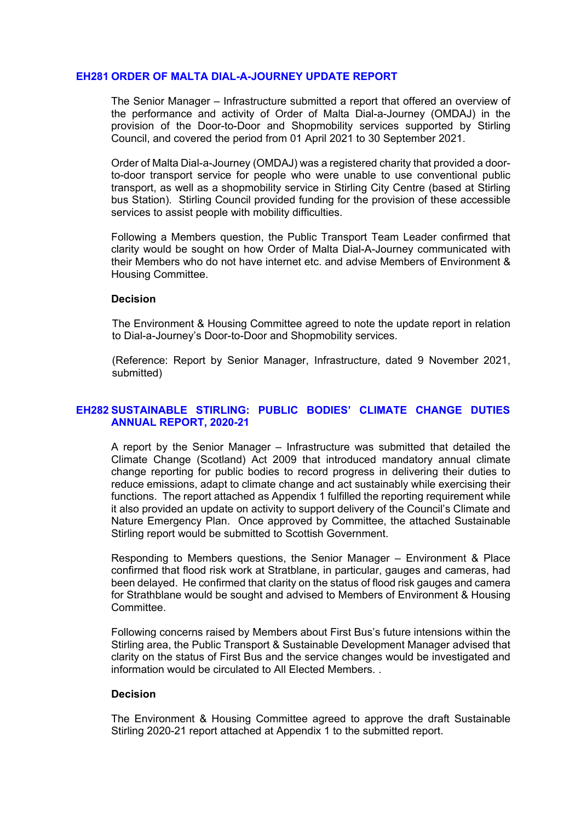#### **EH281 ORDER OF MALTA DIAL-A-JOURNEY UPDATE REPORT**

The Senior Manager – Infrastructure submitted a report that offered an overview of the performance and activity of Order of Malta Dial-a-Journey (OMDAJ) in the provision of the Door-to-Door and Shopmobility services supported by Stirling Council, and covered the period from 01 April 2021 to 30 September 2021.

Order of Malta Dial-a-Journey (OMDAJ) was a registered charity that provided a doorto-door transport service for people who were unable to use conventional public transport, as well as a shopmobility service in Stirling City Centre (based at Stirling bus Station). Stirling Council provided funding for the provision of these accessible services to assist people with mobility difficulties.

Following a Members question, the Public Transport Team Leader confirmed that clarity would be sought on how Order of Malta Dial-A-Journey communicated with their Members who do not have internet etc. and advise Members of Environment & Housing Committee.

#### **Decision**

The Environment & Housing Committee agreed to note the update report in relation to Dial-a-Journey's Door-to-Door and Shopmobility services.

(Reference: Report by Senior Manager, Infrastructure, dated 9 November 2021, submitted)

## **EH282 SUSTAINABLE STIRLING: PUBLIC BODIES' CLIMATE CHANGE DUTIES ANNUAL REPORT, 2020-21**

A report by the Senior Manager – Infrastructure was submitted that detailed the Climate Change (Scotland) Act 2009 that introduced mandatory annual climate change reporting for public bodies to record progress in delivering their duties to reduce emissions, adapt to climate change and act sustainably while exercising their functions. The report attached as Appendix 1 fulfilled the reporting requirement while it also provided an update on activity to support delivery of the Council's Climate and Nature Emergency Plan. Once approved by Committee, the attached Sustainable Stirling report would be submitted to Scottish Government.

Responding to Members questions, the Senior Manager – Environment & Place confirmed that flood risk work at Stratblane, in particular, gauges and cameras, had been delayed. He confirmed that clarity on the status of flood risk gauges and camera for Strathblane would be sought and advised to Members of Environment & Housing Committee.

Following concerns raised by Members about First Bus's future intensions within the Stirling area, the Public Transport & Sustainable Development Manager advised that clarity on the status of First Bus and the service changes would be investigated and information would be circulated to All Elected Members. .

#### **Decision**

The Environment & Housing Committee agreed to approve the draft Sustainable Stirling 2020-21 report attached at Appendix 1 to the submitted report.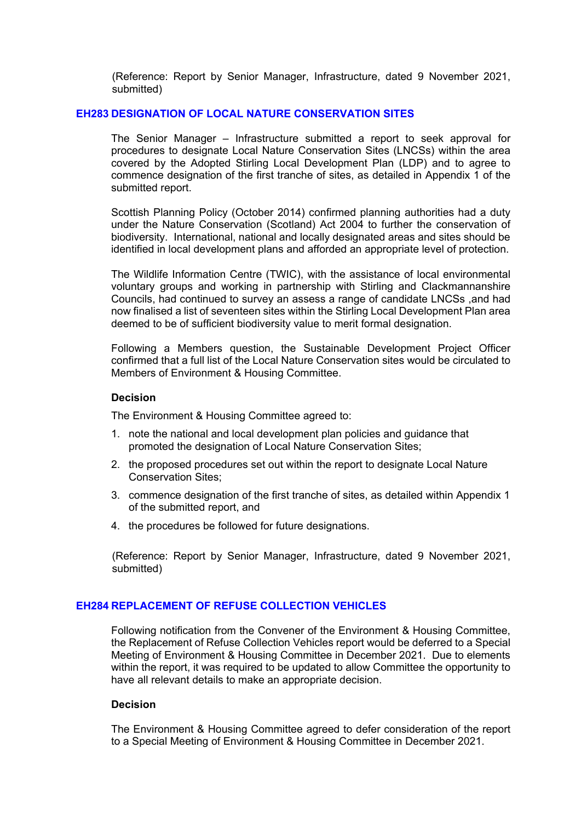(Reference: Report by Senior Manager, Infrastructure, dated 9 November 2021, submitted)

# **EH283 DESIGNATION OF LOCAL NATURE CONSERVATION SITES**

The Senior Manager – Infrastructure submitted a report to seek approval for procedures to designate Local Nature Conservation Sites (LNCSs) within the area covered by the Adopted Stirling Local Development Plan (LDP) and to agree to commence designation of the first tranche of sites, as detailed in Appendix 1 of the submitted report.

Scottish Planning Policy (October 2014) confirmed planning authorities had a duty under the Nature Conservation (Scotland) Act 2004 to further the conservation of biodiversity. International, national and locally designated areas and sites should be identified in local development plans and afforded an appropriate level of protection.

The Wildlife Information Centre (TWIC), with the assistance of local environmental voluntary groups and working in partnership with Stirling and Clackmannanshire Councils, had continued to survey an assess a range of candidate LNCSs ,and had now finalised a list of seventeen sites within the Stirling Local Development Plan area deemed to be of sufficient biodiversity value to merit formal designation.

Following a Members question, the Sustainable Development Project Officer confirmed that a full list of the Local Nature Conservation sites would be circulated to Members of Environment & Housing Committee.

# **Decision**

The Environment & Housing Committee agreed to:

- 1. note the national and local development plan policies and guidance that promoted the designation of Local Nature Conservation Sites;
- 2. the proposed procedures set out within the report to designate Local Nature Conservation Sites;
- 3. commence designation of the first tranche of sites, as detailed within Appendix 1 of the submitted report, and
- 4. the procedures be followed for future designations.

(Reference: Report by Senior Manager, Infrastructure, dated 9 November 2021, submitted)

# **EH284 REPLACEMENT OF REFUSE COLLECTION VEHICLES**

Following notification from the Convener of the Environment & Housing Committee, the Replacement of Refuse Collection Vehicles report would be deferred to a Special Meeting of Environment & Housing Committee in December 2021. Due to elements within the report, it was required to be updated to allow Committee the opportunity to have all relevant details to make an appropriate decision.

#### **Decision**

The Environment & Housing Committee agreed to defer consideration of the report to a Special Meeting of Environment & Housing Committee in December 2021.